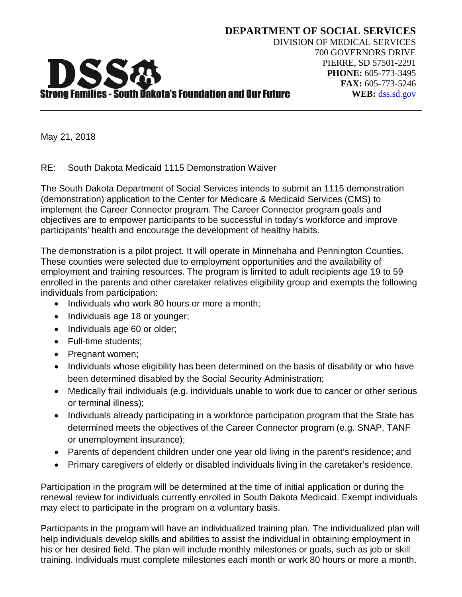

May 21, 2018

RE: South Dakota Medicaid 1115 Demonstration Waiver

The South Dakota Department of Social Services intends to submit an 1115 demonstration (demonstration) application to the Center for Medicare & Medicaid Services (CMS) to implement the Career Connector program. The Career Connector program goals and objectives are to empower participants to be successful in today's workforce and improve participants' health and encourage the development of healthy habits.

The demonstration is a pilot project. It will operate in Minnehaha and Pennington Counties. These counties were selected due to employment opportunities and the availability of employment and training resources. The program is limited to adult recipients age 19 to 59 enrolled in the parents and other caretaker relatives eligibility group and exempts the following individuals from participation:

- Individuals who work 80 hours or more a month;
- Individuals age 18 or younger;
- Individuals age 60 or older;
- Full-time students:
- Pregnant women;
- Individuals whose eligibility has been determined on the basis of disability or who have been determined disabled by the Social Security Administration;
- Medically frail individuals (e.g. individuals unable to work due to cancer or other serious or terminal illness);
- Individuals already participating in a workforce participation program that the State has determined meets the objectives of the Career Connector program (e.g. SNAP, TANF or unemployment insurance);
- Parents of dependent children under one year old living in the parent's residence; and
- Primary caregivers of elderly or disabled individuals living in the caretaker's residence.

Participation in the program will be determined at the time of initial application or during the renewal review for individuals currently enrolled in South Dakota Medicaid. Exempt individuals may elect to participate in the program on a voluntary basis.

Participants in the program will have an individualized training plan. The individualized plan will help individuals develop skills and abilities to assist the individual in obtaining employment in his or her desired field. The plan will include monthly milestones or goals, such as job or skill training. Individuals must complete milestones each month or work 80 hours or more a month.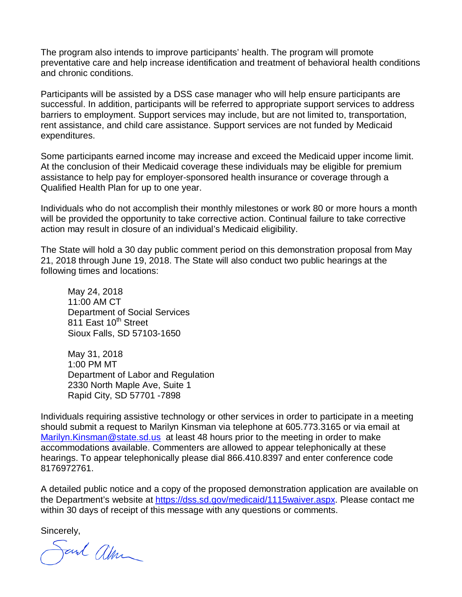The program also intends to improve participants' health. The program will promote preventative care and help increase identification and treatment of behavioral health conditions and chronic conditions.

Participants will be assisted by a DSS case manager who will help ensure participants are successful. In addition, participants will be referred to appropriate support services to address barriers to employment. Support services may include, but are not limited to, transportation, rent assistance, and child care assistance. Support services are not funded by Medicaid expenditures.

Some participants earned income may increase and exceed the Medicaid upper income limit. At the conclusion of their Medicaid coverage these individuals may be eligible for premium assistance to help pay for employer-sponsored health insurance or coverage through a Qualified Health Plan for up to one year.

Individuals who do not accomplish their monthly milestones or work 80 or more hours a month will be provided the opportunity to take corrective action. Continual failure to take corrective action may result in closure of an individual's Medicaid eligibility.

The State will hold a 30 day public comment period on this demonstration proposal from May 21, 2018 through June 19, 2018. The State will also conduct two public hearings at the following times and locations:

May 24, 2018 11:00 AM CT Department of Social Services 811 East 10<sup>th</sup> Street Sioux Falls, SD 57103-1650

May 31, 2018 1:00 PM MT Department of Labor and Regulation 2330 North Maple Ave, Suite 1 Rapid City, SD 57701 -7898

Individuals requiring assistive technology or other services in order to participate in a meeting should submit a request to Marilyn Kinsman via telephone at 605.773.3165 or via email at [Marilyn.Kinsman@state.sd.us](mailto:Marilyn.Kinsman@state.sd.us) at least 48 hours prior to the meeting in order to make accommodations available. Commenters are allowed to appear telephonically at these hearings. To appear telephonically please dial 866.410.8397 and enter conference code 8176972761.

A detailed public notice and a copy of the proposed demonstration application are available on the Department's website at [https://dss.sd.gov/medicaid/1115waiver.aspx.](https://dss.sd.gov/medicaid/1115waiver.aspx) Please contact me within 30 days of receipt of this message with any questions or comments.

Sincerely,

Sand alm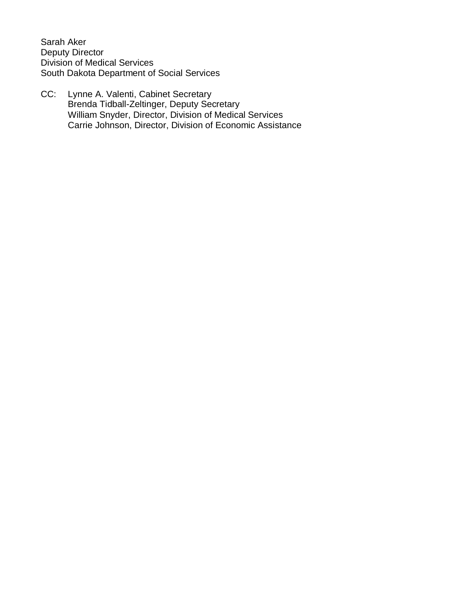Sarah Aker Deputy Director Division of Medical Services South Dakota Department of Social Services

CC: Lynne A. Valenti, Cabinet Secretary Brenda Tidball-Zeltinger, Deputy Secretary William Snyder, Director, Division of Medical Services Carrie Johnson, Director, Division of Economic Assistance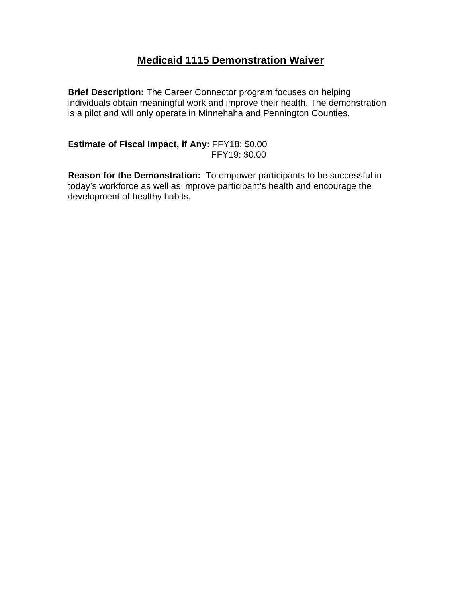## **Medicaid 1115 Demonstration Waiver**

**Brief Description:** The Career Connector program focuses on helping individuals obtain meaningful work and improve their health. The demonstration is a pilot and will only operate in Minnehaha and Pennington Counties.

**Estimate of Fiscal Impact, if Any:** FFY18: \$0.00 FFY19: \$0.00

**Reason for the Demonstration:** To empower participants to be successful in today's workforce as well as improve participant's health and encourage the development of healthy habits.